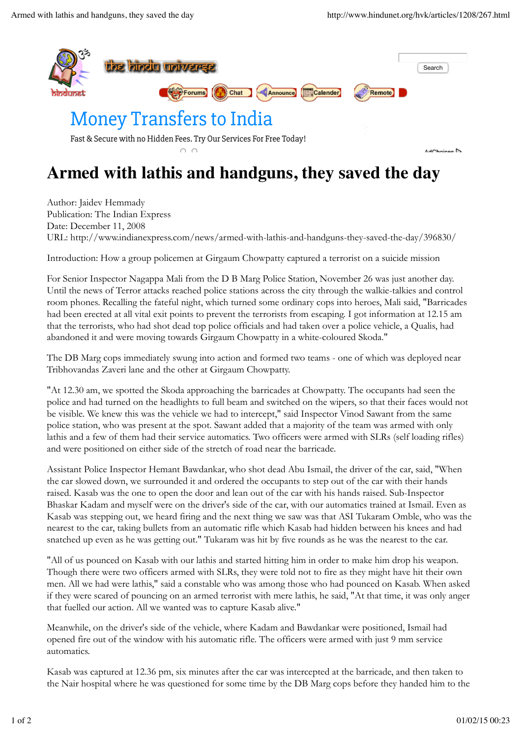

## **Armed with lathis and handguns, they saved the day**

Author: Jaidev Hemmady Publication: The Indian Express Date: December 11, 2008 URL: http://www.indianexpress.com/news/armed-with-lathis-and-handguns-they-saved-the-day/396830/

Introduction: How a group policemen at Girgaum Chowpatty captured a terrorist on a suicide mission

For Senior Inspector Nagappa Mali from the D B Marg Police Station, November 26 was just another day. Until the news of Terror attacks reached police stations across the city through the walkie-talkies and control room phones. Recalling the fateful night, which turned some ordinary cops into heroes, Mali said, "Barricades had been erected at all vital exit points to prevent the terrorists from escaping. I got information at 12.15 am that the terrorists, who had shot dead top police officials and had taken over a police vehicle, a Qualis, had abandoned it and were moving towards Girgaum Chowpatty in a white-coloured Skoda."

The DB Marg cops immediately swung into action and formed two teams - one of which was deployed near Tribhovandas Zaveri lane and the other at Girgaum Chowpatty.

"At 12.30 am, we spotted the Skoda approaching the barricades at Chowpatty. The occupants had seen the police and had turned on the headlights to full beam and switched on the wipers, so that their faces would not be visible. We knew this was the vehicle we had to intercept," said Inspector Vinod Sawant from the same police station, who was present at the spot. Sawant added that a majority of the team was armed with only lathis and a few of them had their service automatics. Two officers were armed with SLRs (self loading rifles) and were positioned on either side of the stretch of road near the barricade.

Assistant Police Inspector Hemant Bawdankar, who shot dead Abu Ismail, the driver of the car, said, "When the car slowed down, we surrounded it and ordered the occupants to step out of the car with their hands raised. Kasab was the one to open the door and lean out of the car with his hands raised. Sub-Inspector Bhaskar Kadam and myself were on the driver's side of the car, with our automatics trained at Ismail. Even as Kasab was stepping out, we heard firing and the next thing we saw was that ASI Tukaram Omble, who was the nearest to the car, taking bullets from an automatic rifle which Kasab had hidden between his knees and had snatched up even as he was getting out." Tukaram was hit by five rounds as he was the nearest to the car.

"All of us pounced on Kasab with our lathis and started hitting him in order to make him drop his weapon. Though there were two officers armed with SLRs, they were told not to fire as they might have hit their own men. All we had were lathis," said a constable who was among those who had pounced on Kasab. When asked if they were scared of pouncing on an armed terrorist with mere lathis, he said, "At that time, it was only anger that fuelled our action. All we wanted was to capture Kasab alive."

Meanwhile, on the driver's side of the vehicle, where Kadam and Bawdankar were positioned, Ismail had opened fire out of the window with his automatic rifle. The officers were armed with just 9 mm service automatics.

Kasab was captured at 12.36 pm, six minutes after the car was intercepted at the barricade, and then taken to the Nair hospital where he was questioned for some time by the DB Marg cops before they handed him to the